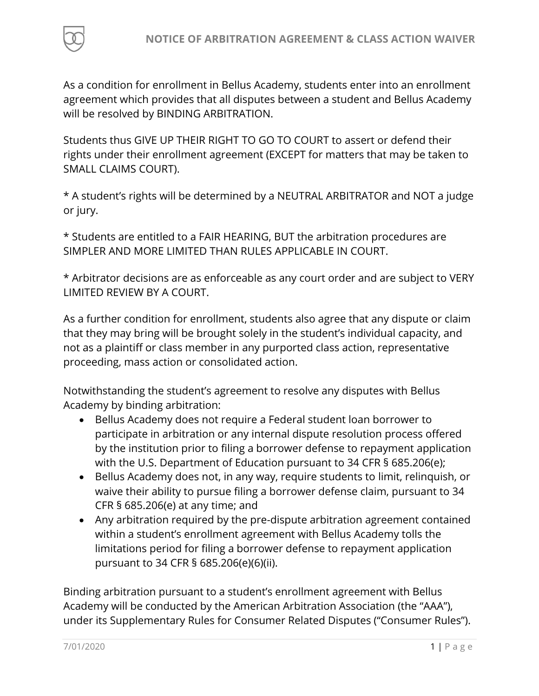

As a condition for enrollment in Bellus Academy, students enter into an enrollment agreement which provides that all disputes between a student and Bellus Academy will be resolved by BINDING ARBITRATION.

Students thus GIVE UP THEIR RIGHT TO GO TO COURT to assert or defend their rights under their enrollment agreement (EXCEPT for matters that may be taken to SMALL CLAIMS COURT).

\* A student's rights will be determined by a NEUTRAL ARBITRATOR and NOT a judge or jury.

\* Students are entitled to a FAIR HEARING, BUT the arbitration procedures are SIMPLER AND MORE LIMITED THAN RULES APPLICABLE IN COURT.

\* Arbitrator decisions are as enforceable as any court order and are subject to VERY LIMITED REVIEW BY A COURT.

As a further condition for enrollment, students also agree that any dispute or claim that they may bring will be brought solely in the student's individual capacity, and not as a plaintiff or class member in any purported class action, representative proceeding, mass action or consolidated action.

Notwithstanding the student's agreement to resolve any disputes with Bellus Academy by binding arbitration:

- Bellus Academy does not require a Federal student loan borrower to participate in arbitration or any internal dispute resolution process offered by the institution prior to filing a borrower defense to repayment application with the U.S. Department of Education pursuant to 34 CFR § 685.206(e);
- Bellus Academy does not, in any way, require students to limit, relinquish, or waive their ability to pursue filing a borrower defense claim, pursuant to 34 CFR § 685.206(e) at any time; and
- Any arbitration required by the pre-dispute arbitration agreement contained within a student's enrollment agreement with Bellus Academy tolls the limitations period for filing a borrower defense to repayment application pursuant to 34 CFR § 685.206(e)(6)(ii).

Binding arbitration pursuant to a student's enrollment agreement with Bellus Academy will be conducted by the American Arbitration Association (the "AAA"), under its Supplementary Rules for Consumer Related Disputes ("Consumer Rules").